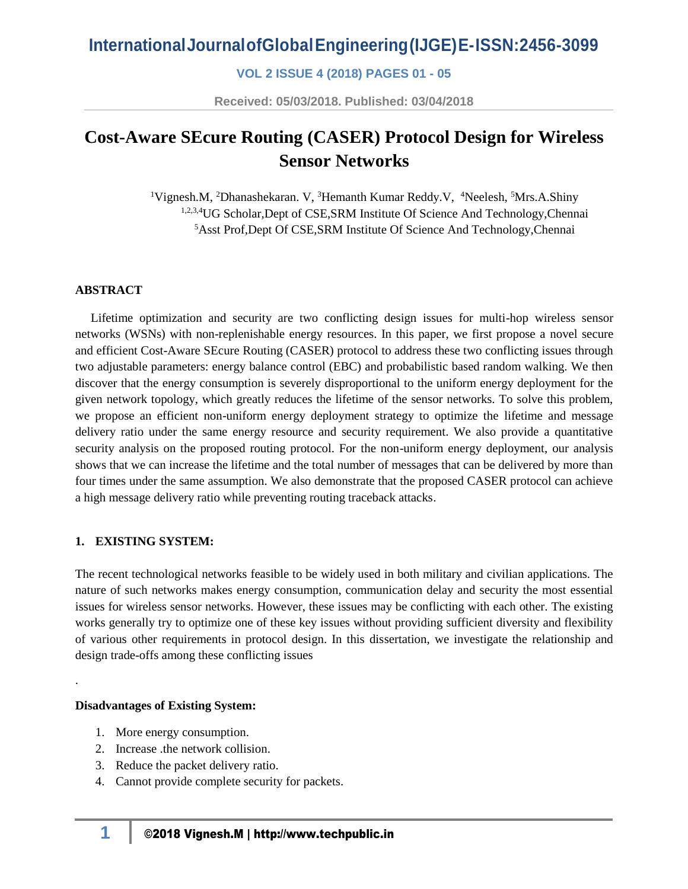## **VOL 2 ISSUE 4 (2018) PAGES 01 - 05**

**Received: 05/03/2018. Published: 03/04/2018**

# **Cost-Aware SEcure Routing (CASER) Protocol Design for Wireless Sensor Networks**

<sup>1</sup>Vignesh.M, <sup>2</sup>Dhanashekaran. V, <sup>3</sup>Hemanth Kumar Reddy.V, <sup>4</sup>Neelesh, <sup>5</sup>Mrs.A.Shiny 1,2,3,4UG Scholar, Dept of CSE, SRM Institute Of Science And Technology, Chennai <sup>5</sup>Asst Prof,Dept Of CSE,SRM Institute Of Science And Technology,Chennai

#### **ABSTRACT**

 Lifetime optimization and security are two conflicting design issues for multi-hop wireless sensor networks (WSNs) with non-replenishable energy resources. In this paper, we first propose a novel secure and efficient Cost-Aware SEcure Routing (CASER) protocol to address these two conflicting issues through two adjustable parameters: energy balance control (EBC) and probabilistic based random walking. We then discover that the energy consumption is severely disproportional to the uniform energy deployment for the given network topology, which greatly reduces the lifetime of the sensor networks. To solve this problem, we propose an efficient non-uniform energy deployment strategy to optimize the lifetime and message delivery ratio under the same energy resource and security requirement. We also provide a quantitative security analysis on the proposed routing protocol. For the non-uniform energy deployment, our analysis shows that we can increase the lifetime and the total number of messages that can be delivered by more than four times under the same assumption. We also demonstrate that the proposed CASER protocol can achieve a high message delivery ratio while preventing routing traceback attacks.

#### **1. EXISTING SYSTEM:**

The recent technological networks feasible to be widely used in both military and civilian applications. The nature of such networks makes energy consumption, communication delay and security the most essential issues for wireless sensor networks. However, these issues may be conflicting with each other. The existing works generally try to optimize one of these key issues without providing sufficient diversity and flexibility of various other requirements in protocol design. In this dissertation, we investigate the relationship and design trade-offs among these conflicting issues

#### **Disadvantages of Existing System:**

.

- 1. More energy consumption.
- 2. Increase .the network collision.
- 3. Reduce the packet delivery ratio.
- 4. Cannot provide complete security for packets.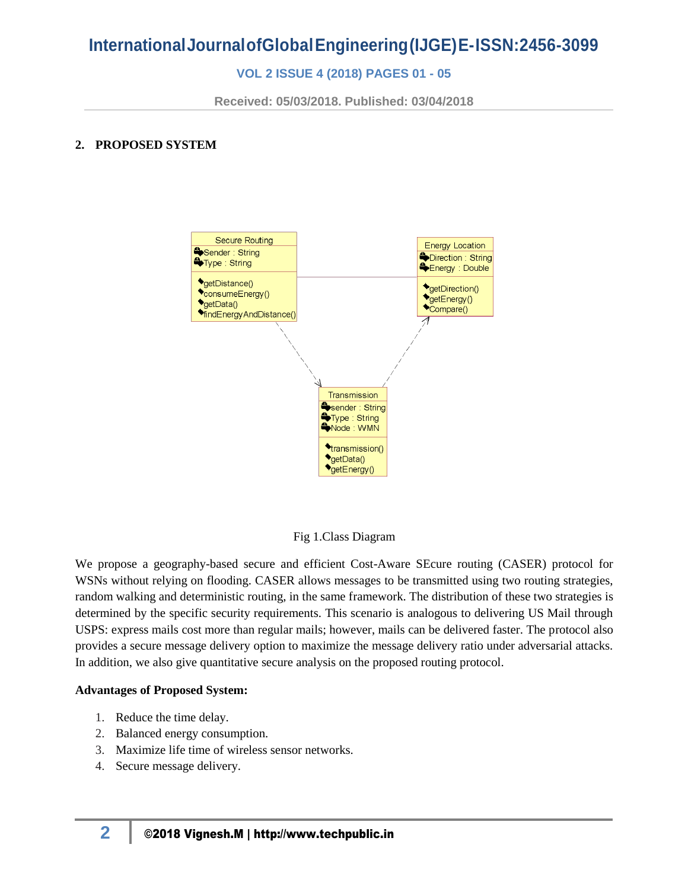## **VOL 2 ISSUE 4 (2018) PAGES 01 - 05**

**Received: 05/03/2018. Published: 03/04/2018**

## **2. PROPOSED SYSTEM**



Fig 1.Class Diagram

We propose a geography-based secure and efficient Cost-Aware SEcure routing (CASER) protocol for WSNs without relying on flooding. CASER allows messages to be transmitted using two routing strategies, random walking and deterministic routing, in the same framework. The distribution of these two strategies is determined by the specific security requirements. This scenario is analogous to delivering US Mail through USPS: express mails cost more than regular mails; however, mails can be delivered faster. The protocol also provides a secure message delivery option to maximize the message delivery ratio under adversarial attacks. In addition, we also give quantitative secure analysis on the proposed routing protocol.

### **Advantages of Proposed System:**

- 1. Reduce the time delay.
- 2. Balanced energy consumption.
- 3. Maximize life time of wireless sensor networks.
- 4. Secure message delivery.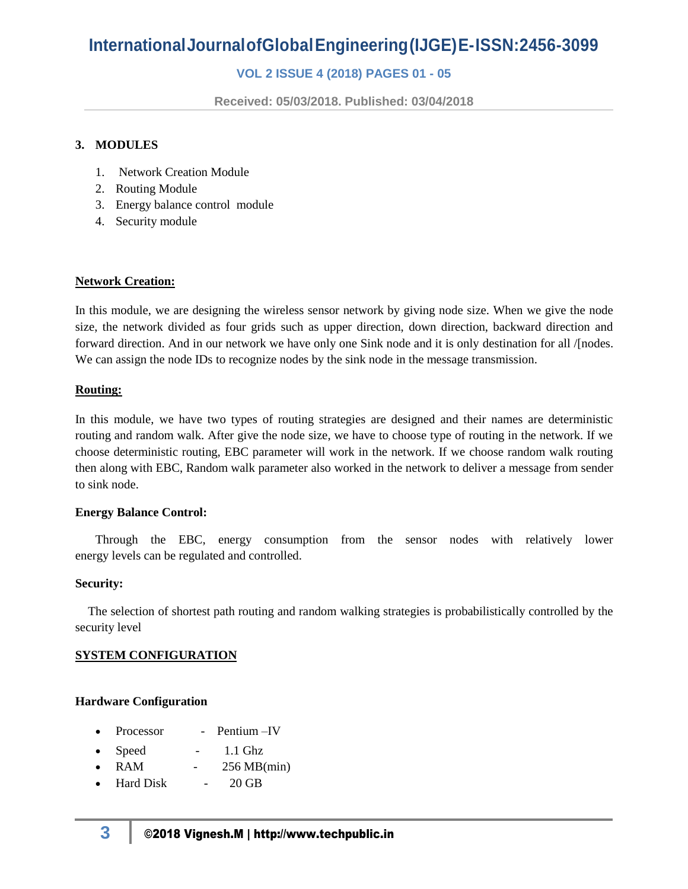# **InternationalJournalofGlobalEngineering(IJGE)E-ISSN:2456-3099**

## **VOL 2 ISSUE 4 (2018) PAGES 01 - 05**

**Received: 05/03/2018. Published: 03/04/2018**

#### **3. MODULES**

- 1. Network Creation Module
- 2. Routing Module
- 3. Energy balance control module
- 4. Security module

#### **Network Creation:**

In this module, we are designing the wireless sensor network by giving node size. When we give the node size, the network divided as four grids such as upper direction, down direction, backward direction and forward direction. And in our network we have only one Sink node and it is only destination for all /[nodes. We can assign the node IDs to recognize nodes by the sink node in the message transmission.

#### **Routing:**

In this module, we have two types of routing strategies are designed and their names are deterministic routing and random walk. After give the node size, we have to choose type of routing in the network. If we choose deterministic routing, EBC parameter will work in the network. If we choose random walk routing then along with EBC, Random walk parameter also worked in the network to deliver a message from sender to sink node.

#### **Energy Balance Control:**

Through the EBC, energy consumption from the sensor nodes with relatively lower energy levels can be regulated and controlled.

#### **Security:**

The selection of shortest path routing and random walking strategies is probabilistically controlled by the security level

#### **SYSTEM CONFIGURATION**

#### **Hardware Configuration**

- Processor Pentium IV
- Speed 1.1 Ghz
- RAM 256 MB(min)
- Hard Disk 20 GB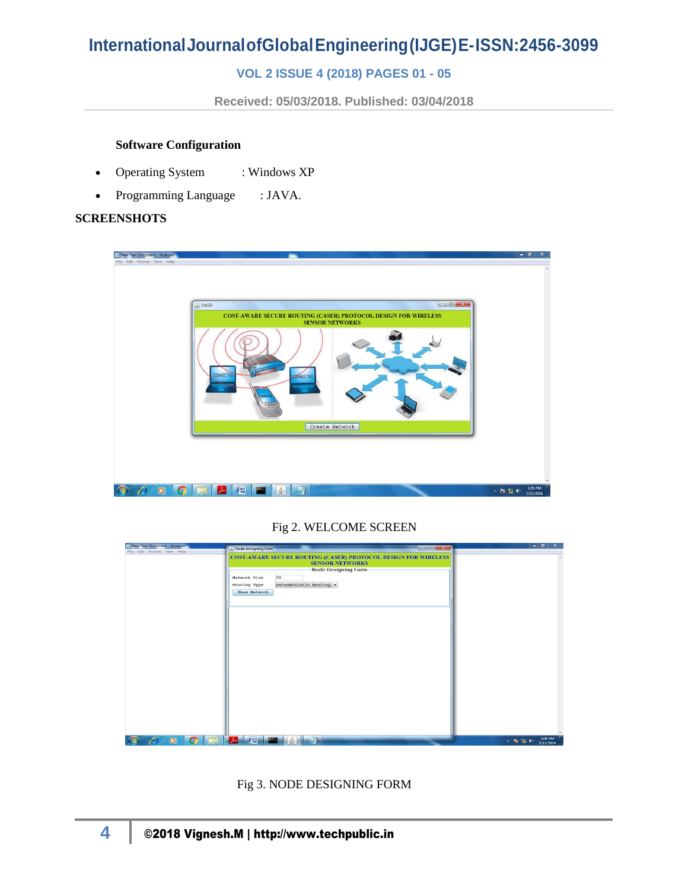# **InternationalJournalofGlobalEngineering(IJGE)E-ISSN:2456-3099**

## **VOL 2 ISSUE 4 (2018) PAGES 01 - 05**

**Received: 05/03/2018. Published: 03/04/2018**

#### **Software Configuration**

- Operating System : Windows XP
- Programming Language : JAVA.

#### **SCREENSHOTS**

| New Text Document - Notepad<br>File Edit Format View Help | CASER<br>COST-AWARE SECURE ROUTING (CASER) PROTOCOL DESIGN FOR WIRELESS<br><b>SENSOR NETWORKS</b><br><b>CONNECTED</b><br>ECTRECTED | $ -$<br>$\mathbf{x}$              |
|-----------------------------------------------------------|------------------------------------------------------------------------------------------------------------------------------------|-----------------------------------|
|                                                           | Create Network                                                                                                                     |                                   |
|                                                           |                                                                                                                                    |                                   |
| $\bullet$<br>റ                                            | 肾<br>$\frac{1}{\sqrt{2}}$<br>人<br><b>PM</b>                                                                                        | 1:05 PM<br>▲ 階 幅 (0)<br>1/11/2016 |

### Fig 2. WELCOME SCREEN

| New Text Document - Notepad                  | <b>ROBERT X-8</b><br>A Node Designing Form                     | $ \sigma$ $\times$           |
|----------------------------------------------|----------------------------------------------------------------|------------------------------|
| File Edit Format View Help                   |                                                                |                              |
|                                              | COST-AWARE SECURE ROUTING (CASER) PROTOCOL DESIGN FOR WIRELESS |                              |
|                                              | <b>SENSOR NETWORKS</b>                                         |                              |
|                                              | Node Designing Form                                            |                              |
|                                              |                                                                |                              |
|                                              | 20<br>Network Size                                             |                              |
|                                              | Deterministic Routing -<br><b>Routing Type</b>                 |                              |
|                                              | <b>Show Network</b>                                            |                              |
|                                              |                                                                |                              |
|                                              |                                                                |                              |
|                                              |                                                                |                              |
|                                              |                                                                |                              |
|                                              |                                                                |                              |
|                                              |                                                                |                              |
|                                              |                                                                |                              |
|                                              |                                                                |                              |
|                                              |                                                                |                              |
|                                              |                                                                |                              |
|                                              |                                                                |                              |
|                                              |                                                                |                              |
|                                              |                                                                |                              |
|                                              |                                                                |                              |
|                                              |                                                                |                              |
|                                              |                                                                |                              |
|                                              |                                                                |                              |
|                                              |                                                                |                              |
|                                              |                                                                |                              |
|                                              |                                                                |                              |
|                                              |                                                                |                              |
|                                              |                                                                |                              |
|                                              |                                                                |                              |
|                                              |                                                                |                              |
|                                              |                                                                |                              |
|                                              |                                                                |                              |
| $\bullet$<br>D<br><b>AO</b><br><b>CELENT</b> | $\lambda$ $\mu$ $\mu$<br>$\mathbb{Z}$ in                       | 1:08 PM<br>$-12.52 + 0.$<br> |

Fig 3. NODE DESIGNING FORM